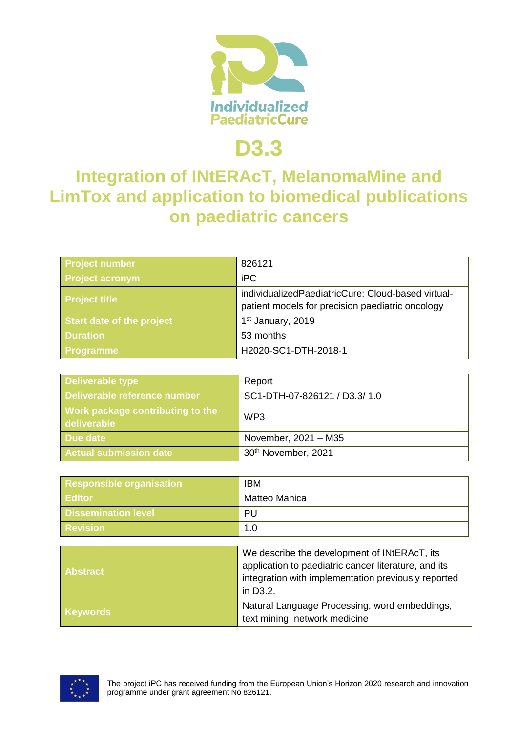

# **D3.3**

## **Integration of INtERAcT, MelanomaMine and LimTox and application to biomedical publications on paediatric cancers**

| <b>Project number</b>     | 826121                                                                                                 |
|---------------------------|--------------------------------------------------------------------------------------------------------|
| <b>Project acronym</b>    | <b>iPC</b>                                                                                             |
| <b>Project title</b>      | individualizedPaediatricCure: Cloud-based virtual-<br>patient models for precision paediatric oncology |
| Start date of the project | 1 <sup>st</sup> January, 2019                                                                          |
| <b>Duration</b>           | 53 months                                                                                              |
| <b>Programme</b>          | H2020-SC1-DTH-2018-1                                                                                   |

| <b>Deliverable type</b>                         | Report                       |
|-------------------------------------------------|------------------------------|
| Deliverable reference number                    | SC1-DTH-07-826121 / D3.3/1.0 |
| Work package contributing to the<br>deliverable | WP <sub>3</sub>              |
| Due date                                        | November, 2021 - M35         |
| Actual submission date                          | 30th November, 2021          |

| <b>Responsible organisation</b> | <b>IBM</b>    |
|---------------------------------|---------------|
| <b>Editor</b>                   | Matteo Manica |
| <b>Dissemination level</b>      | PU            |
| <b>Revision</b>                 | 1.0           |

| <b>Abstract</b> | We describe the development of INtERAcT, its<br>application to paediatric cancer literature, and its<br>integration with implementation previously reported<br>in D3.2. |
|-----------------|-------------------------------------------------------------------------------------------------------------------------------------------------------------------------|
| <b>Keywords</b> | Natural Language Processing, word embeddings,<br>text mining, network medicine                                                                                          |

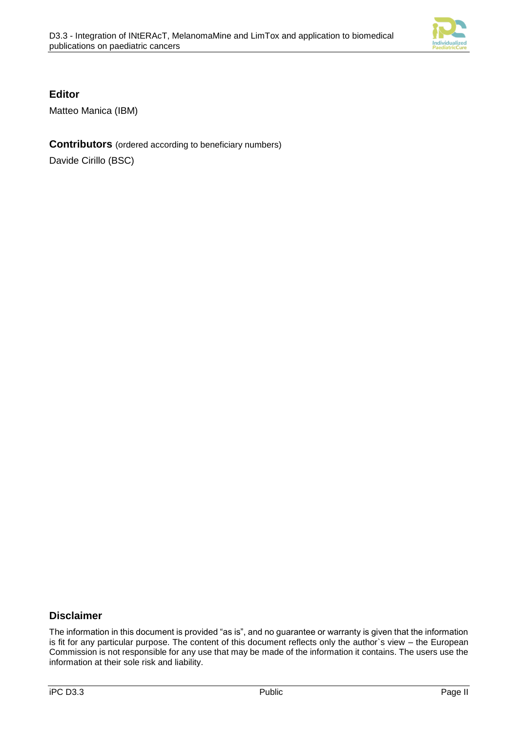

#### **Editor**

Matteo Manica (IBM)

#### **Contributors** (ordered according to beneficiary numbers)

Davide Cirillo (BSC)

#### **Disclaimer**

The information in this document is provided "as is", and no guarantee or warranty is given that the information is fit for any particular purpose. The content of this document reflects only the author`s view – the European Commission is not responsible for any use that may be made of the information it contains. The users use the information at their sole risk and liability.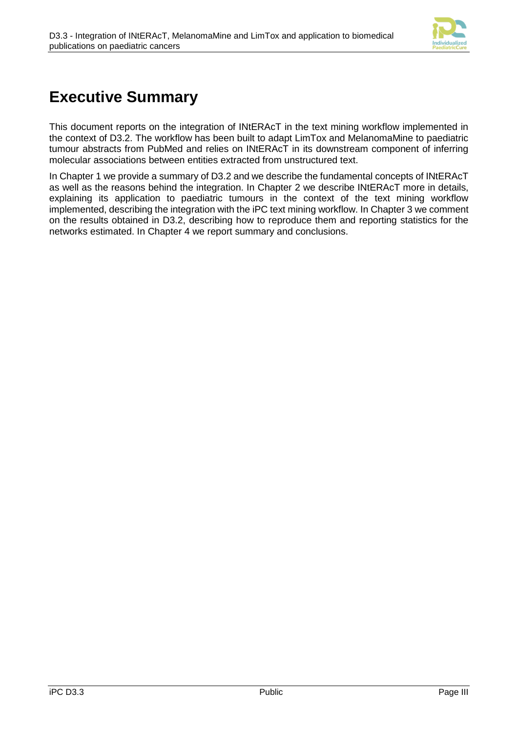

## **Executive Summary**

This document reports on the integration of INtERAcT in the text mining workflow implemented in the context of D3.2. The workflow has been built to adapt LimTox and MelanomaMine to paediatric tumour abstracts from PubMed and relies on INtERAcT in its downstream component of inferring molecular associations between entities extracted from unstructured text.

In [Chapter 1](#page-3-0) we provide a summary of D3.2 and we describe the fundamental concepts of INtERAcT as well as the reasons behind the integration. In [Chapter 2](#page-6-0) we describe INtERAcT more in details, explaining its application to paediatric tumours in the context of the text mining workflow implemented, describing the integration with the iPC text mining workflow. In [Chapter 3](#page-8-0) we comment on the results obtained in D3.2, describing how to reproduce them and reporting statistics for the networks estimated. In [Chapter 4](#page-9-0) we report summary and conclusions.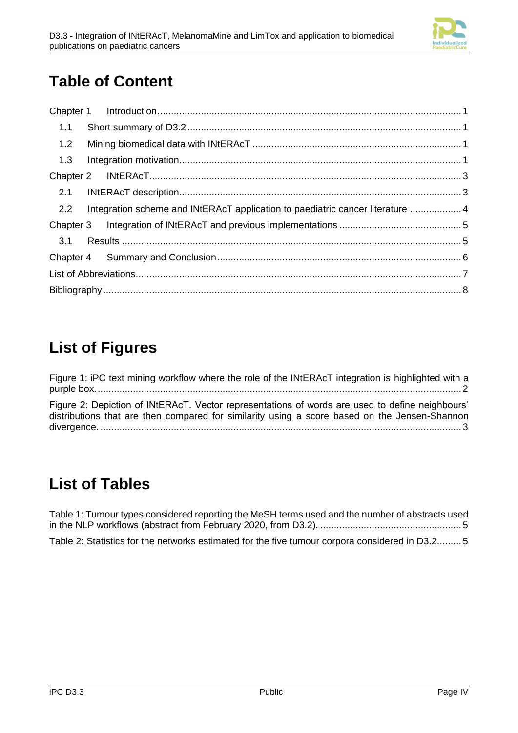

## **Table of Content**

| 1.1 |                                                                                |  |
|-----|--------------------------------------------------------------------------------|--|
| 1.2 |                                                                                |  |
| 1.3 |                                                                                |  |
|     |                                                                                |  |
| 2.1 |                                                                                |  |
| 2.2 | Integration scheme and INtERAcT application to paediatric cancer literature  4 |  |
|     |                                                                                |  |
| 3.1 |                                                                                |  |
|     |                                                                                |  |
|     |                                                                                |  |
|     |                                                                                |  |

## **List of Figures**

[Figure 1: iPC text mining workflow where the role of the INtERAcT integration is highlighted with a](#page-5-0)  [purple box.......................................................................................................................................](#page-5-0) 2 [Figure 2: Depiction of INtERAcT. Vector representations of words are used to define neighbours'](#page-6-2)  [distributions that are then compared for similarity using a score based on the Jensen-Shannon](#page-6-2)  divergence. [.....................................................................................................................................](#page-6-2) 3

### **List of Tables**

<span id="page-3-0"></span>

| Table 1: Tumour types considered reporting the MeSH terms used and the number of abstracts used |  |
|-------------------------------------------------------------------------------------------------|--|
|                                                                                                 |  |
| Table 2: Statistics for the networks estimated for the five tumour corpora considered in D3.25  |  |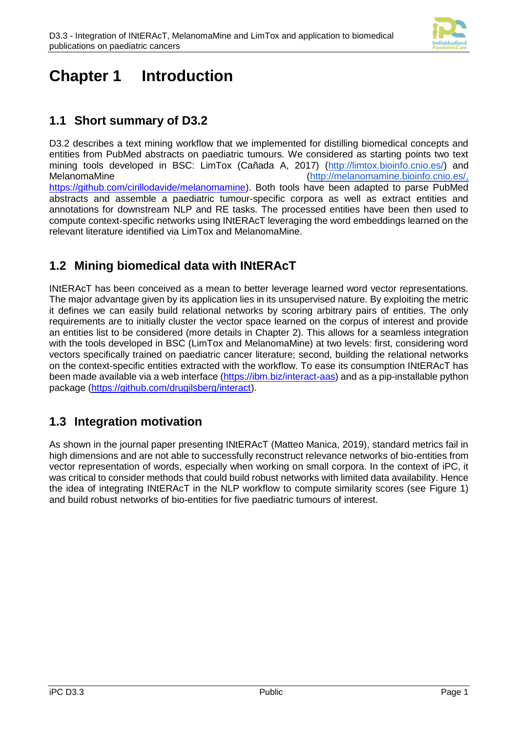

### <span id="page-4-0"></span>**Chapter 1 Introduction**

### <span id="page-4-1"></span>**1.1 Short summary of D3.2**

D3.2 describes a text mining workflow that we implemented for distilling biomedical concepts and entities from PubMed abstracts on paediatric tumours. We considered as starting points two text mining tools developed in BSC: LimTox (Cañada A, 2017) [\(http://limtox.bioinfo.cnio.es/\)](http://limtox.bioinfo.cnio.es/) and MelanomaMine [\(http://melanomamine.bioinfo.cnio.es/,](http://melanomamine.bioinfo.cnio.es/) [https://github.com/cirillodavide/melanomamine\)](https://github.com/cirillodavide/melanomamine). Both tools have been adapted to parse PubMed abstracts and assemble a paediatric tumour-specific corpora as well as extract entities and annotations for downstream NLP and RE tasks. The processed entities have been then used to compute context-specific networks using INtERAcT leveraging the word embeddings learned on the relevant literature identified via LimTox and MelanomaMine.

### <span id="page-4-2"></span>**1.2 Mining biomedical data with INtERAcT**

INtERAcT has been conceived as a mean to better leverage learned word vector representations. The major advantage given by its application lies in its unsupervised nature. By exploiting the metric it defines we can easily build relational networks by scoring arbitrary pairs of entities. The only requirements are to initially cluster the vector space learned on the corpus of interest and provide an entities list to be considered (more details in [Chapter 2\)](#page-6-0). This allows for a seamless integration with the tools developed in BSC (LimTox and MelanomaMine) at two levels: first, considering word vectors specifically trained on paediatric cancer literature; second, building the relational networks on the context-specific entities extracted with the workflow. To ease its consumption INtERAcT has been made available via a web interface [\(https://ibm.biz/interact-aas\)](https://ibm.biz/interact-aas) and as a pip-installable python package [\(https://github.com/drugilsberg/interact\)](https://github.com/drugilsberg/interact).

### <span id="page-4-3"></span>**1.3 Integration motivation**

As shown in the journal paper presenting INtERAcT (Matteo Manica, 2019), standard metrics fail in high dimensions and are not able to successfully reconstruct relevance networks of bio-entities from vector representation of words, especially when working on small corpora. In the context of iPC, it was critical to consider methods that could build robust networks with limited data availability. Hence the idea of integrating INtERAcT in the NLP workflow to compute similarity scores (see [Figure 1\)](#page-5-0) and build robust networks of bio-entities for five paediatric tumours of interest.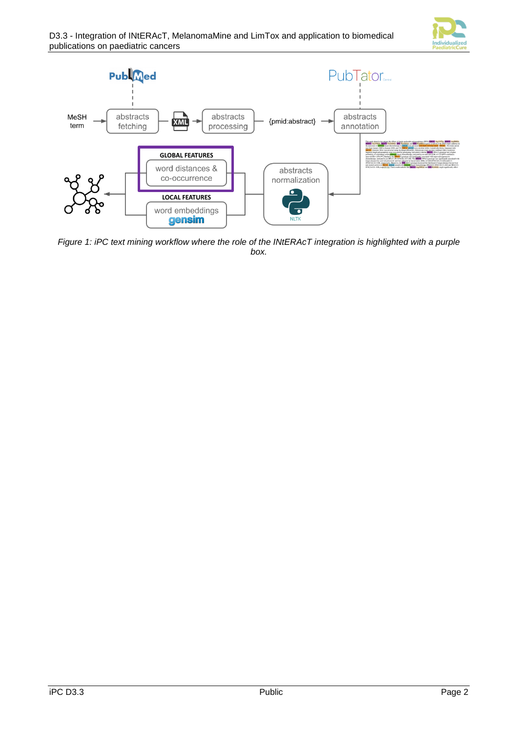



<span id="page-5-0"></span>*Figure 1: iPC text mining workflow where the role of the INtERAcT integration is highlighted with a purple box.*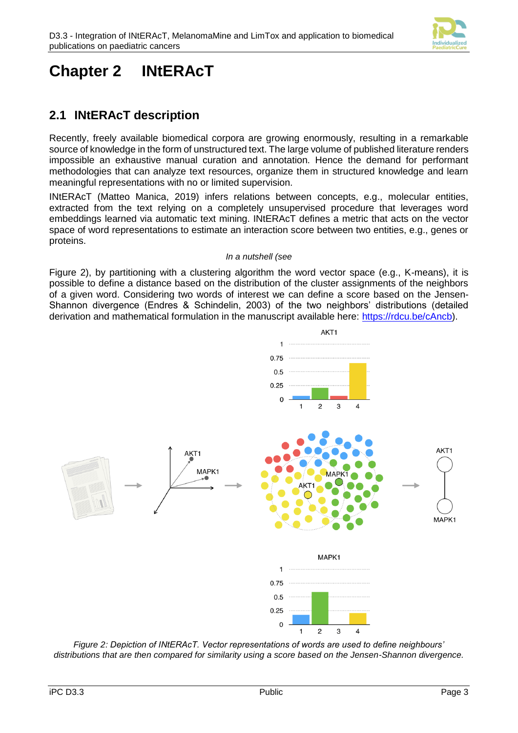

## <span id="page-6-0"></span>**Chapter 2 INtERAcT**

### <span id="page-6-1"></span>**2.1 INtERAcT description**

Recently, freely available biomedical corpora are growing enormously, resulting in a remarkable source of knowledge in the form of unstructured text. The large volume of published literature renders impossible an exhaustive manual curation and annotation. Hence the demand for performant methodologies that can analyze text resources, organize them in structured knowledge and learn meaningful representations with no or limited supervision.

INtERAcT (Matteo Manica, 2019) infers relations between concepts, e.g., molecular entities, extracted from the text relying on a completely unsupervised procedure that leverages word embeddings learned via automatic text mining. INtERAcT defines a metric that acts on the vector space of word representations to estimate an interaction score between two entities, e.g., genes or proteins.

#### <span id="page-6-2"></span>*In a nutshell (see*

[Figure 2\)](#page-6-2), by partitioning with a clustering algorithm the word vector space (e.g., K-means), it is possible to define a distance based on the distribution of the cluster assignments of the neighbors of a given word. Considering two words of interest we can define a score based on the Jensen-Shannon divergence (Endres & Schindelin, 2003) of the two neighbors' distributions (detailed derivation and mathematical formulation in the manuscript available here: [https://rdcu.be/cAncb\)](https://rdcu.be/cAncb).



*Figure 2: Depiction of INtERAcT. Vector representations of words are used to define neighbours' distributions that are then compared for similarity using a score based on the Jensen-Shannon divergence.*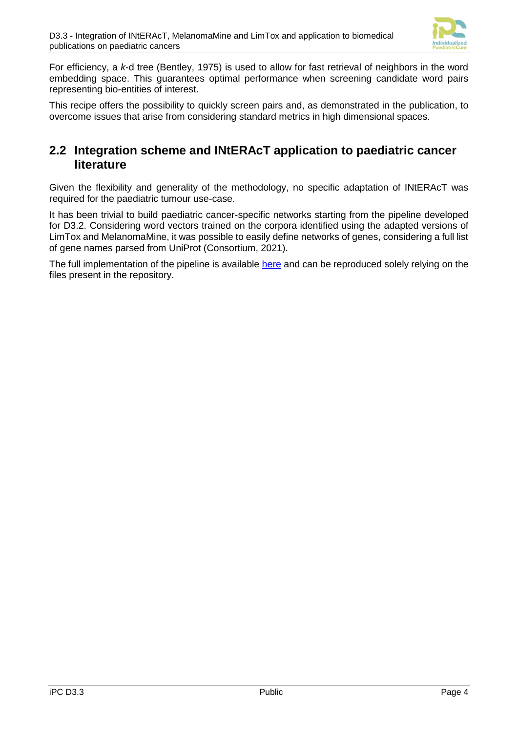

For efficiency, a *k*-d tree (Bentley, 1975) is used to allow for fast retrieval of neighbors in the word embedding space. This guarantees optimal performance when screening candidate word pairs representing bio-entities of interest.

This recipe offers the possibility to quickly screen pairs and, as demonstrated in the publication, to overcome issues that arise from considering standard metrics in high dimensional spaces.

#### <span id="page-7-0"></span>**2.2 Integration scheme and INtERAcT application to paediatric cancer literature**

Given the flexibility and generality of the methodology, no specific adaptation of INtERAcT was required for the paediatric tumour use-case.

It has been trivial to build paediatric cancer-specific networks starting from the pipeline developed for D3.2. Considering word vectors trained on the corpora identified using the adapted versions of LimTox and MelanomaMine, it was possible to easily define networks of genes, considering a full list of gene names parsed from UniProt (Consortium, 2021).

The full implementation of the pipeline is available [here](https://github.com/drugilsberg/interact/blob/master/examples/ipc/generate_network.py) and can be reproduced solely relying on the files present in the repository.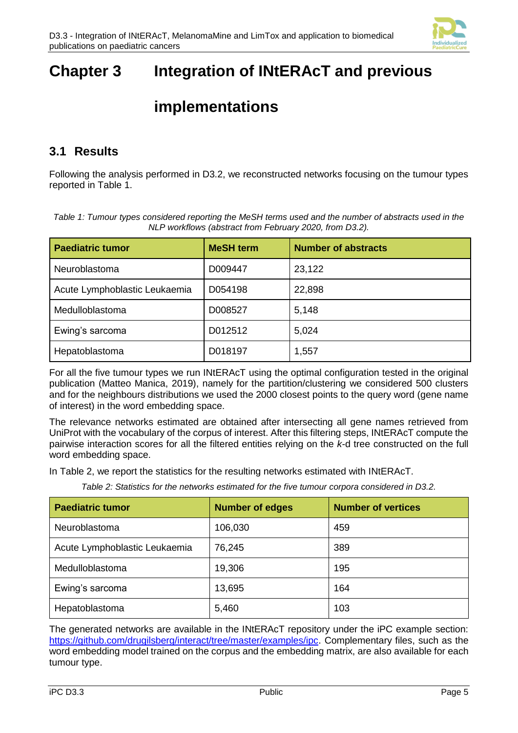

## <span id="page-8-0"></span>**Chapter 3 Integration of INtERAcT and previous**

### **implementations**

#### <span id="page-8-1"></span>**3.1 Results**

Following the analysis performed in D3.2, we reconstructed networks focusing on the tumour types reported in [Table 1.](#page-8-2)

<span id="page-8-2"></span>

| Table 1: Tumour types considered reporting the MeSH terms used and the number of abstracts used in the |
|--------------------------------------------------------------------------------------------------------|
| NLP workflows (abstract from February 2020, from D3.2).                                                |

| <b>Paediatric tumor</b>       | <b>MeSH</b> term | <b>Number of abstracts</b> |
|-------------------------------|------------------|----------------------------|
| Neuroblastoma                 | D009447          | 23,122                     |
| Acute Lymphoblastic Leukaemia | D054198          | 22,898                     |
| Medulloblastoma               | D008527          | 5,148                      |
| Ewing's sarcoma               | D012512          | 5,024                      |
| Hepatoblastoma                | D018197          | 1,557                      |

For all the five tumour types we run INtERAcT using the optimal configuration tested in the original publication (Matteo Manica, 2019), namely for the partition/clustering we considered 500 clusters and for the neighbours distributions we used the 2000 closest points to the query word (gene name of interest) in the word embedding space.

The relevance networks estimated are obtained after intersecting all gene names retrieved from UniProt with the vocabulary of the corpus of interest. After this filtering steps, INtERAcT compute the pairwise interaction scores for all the filtered entities relying on the *k*-d tree constructed on the full word embedding space.

In [Table 2,](#page-8-3) we report the statistics for the resulting networks estimated with INtERAcT.

*Table 2: Statistics for the networks estimated for the five tumour corpora considered in D3.2.*

<span id="page-8-3"></span>

| <b>Paediatric tumor</b>       | <b>Number of edges</b> | <b>Number of vertices</b> |
|-------------------------------|------------------------|---------------------------|
| Neuroblastoma                 | 106,030                | 459                       |
| Acute Lymphoblastic Leukaemia | 76,245                 | 389                       |
| Medulloblastoma               | 19,306                 | 195                       |
| Ewing's sarcoma               | 13,695                 | 164                       |
| Hepatoblastoma                | 5,460                  | 103                       |

The generated networks are available in the INtERAcT repository under the iPC example section: [https://github.com/drugilsberg/interact/tree/master/examples/ipc.](https://github.com/drugilsberg/interact/tree/master/examples/ipc) Complementary files, such as the word embedding model trained on the corpus and the embedding matrix, are also available for each tumour type.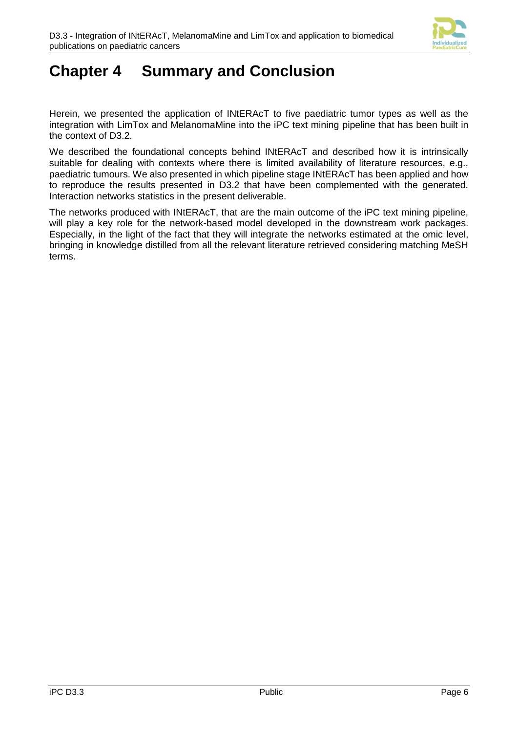

### <span id="page-9-0"></span>**Chapter 4 Summary and Conclusion**

Herein, we presented the application of INtERAcT to five paediatric tumor types as well as the integration with LimTox and MelanomaMine into the iPC text mining pipeline that has been built in the context of D3.2.

We described the foundational concepts behind INtERAcT and described how it is intrinsically suitable for dealing with contexts where there is limited availability of literature resources, e.g., paediatric tumours. We also presented in which pipeline stage INtERAcT has been applied and how to reproduce the results presented in D3.2 that have been complemented with the generated. Interaction networks statistics in the present deliverable.

The networks produced with INtERAcT, that are the main outcome of the iPC text mining pipeline, will play a key role for the network-based model developed in the downstream work packages. Especially, in the light of the fact that they will integrate the networks estimated at the omic level, bringing in knowledge distilled from all the relevant literature retrieved considering matching MeSH terms.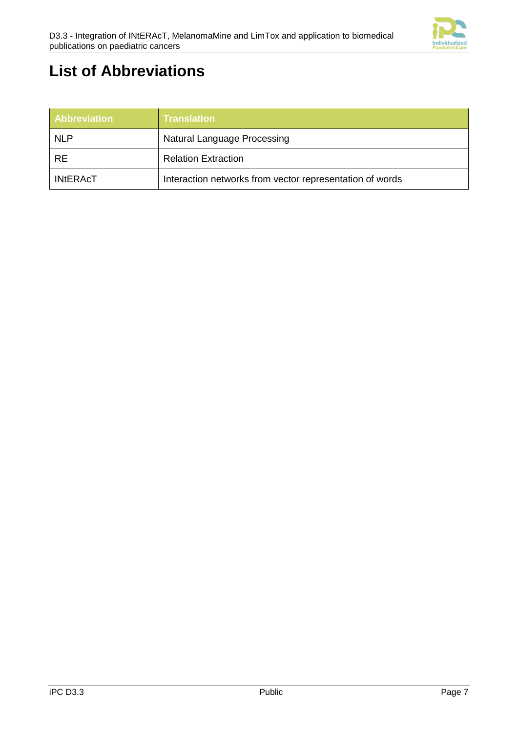

### <span id="page-10-0"></span>**List of Abbreviations**

| <b>Abbreviation</b> | <b>Translation</b>                                       |
|---------------------|----------------------------------------------------------|
| <b>NLP</b>          | Natural Language Processing                              |
| <b>RE</b>           | <b>Relation Extraction</b>                               |
| <b>INtERAcT</b>     | Interaction networks from vector representation of words |